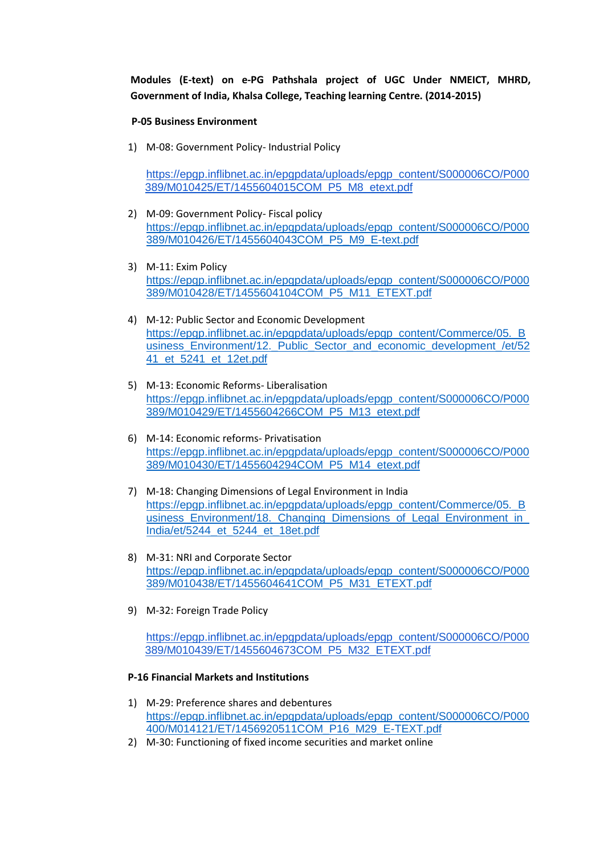**Modules (E-text) on e-PG Pathshala project of UGC Under NMEICT, MHRD, Government of India, Khalsa College, Teaching learning Centre. (2014-2015)**

## **P-05 Business Environment**

1) M-08: Government Policy- Industrial Policy

[https://epgp.inflibnet.ac.in/epgpdata/uploads/epgp\\_content/S000006CO/P000](https://epgp.inflibnet.ac.in/epgpdata/uploads/epgp_content/S000006CO/P000389/M010425/ET/1455604015COM_P5_M8_etext.pdf) [389/M010425/ET/1455604015COM\\_P5\\_M8\\_etext.pdf](https://epgp.inflibnet.ac.in/epgpdata/uploads/epgp_content/S000006CO/P000389/M010425/ET/1455604015COM_P5_M8_etext.pdf)

- 2) M-09: Government Policy- Fiscal policy [https://epgp.inflibnet.ac.in/epgpdata/uploads/epgp\\_content/S000006CO/P000](https://epgp.inflibnet.ac.in/epgpdata/uploads/epgp_content/S000006CO/P000389/M010426/ET/1455604043COM_P5_M9_E-text.pdf) [389/M010426/ET/1455604043COM\\_P5\\_M9\\_E-text.pdf](https://epgp.inflibnet.ac.in/epgpdata/uploads/epgp_content/S000006CO/P000389/M010426/ET/1455604043COM_P5_M9_E-text.pdf)
- 3) M-11: Exim Policy [https://epgp.inflibnet.ac.in/epgpdata/uploads/epgp\\_content/S000006CO/P000](https://epgp.inflibnet.ac.in/epgpdata/uploads/epgp_content/S000006CO/P000389/M010428/ET/1455604104COM_P5_M11_ETEXT.pdf) [389/M010428/ET/1455604104COM\\_P5\\_M11\\_ETEXT.pdf](https://epgp.inflibnet.ac.in/epgpdata/uploads/epgp_content/S000006CO/P000389/M010428/ET/1455604104COM_P5_M11_ETEXT.pdf)
- 4) M-12: Public Sector and Economic Development [https://epgp.inflibnet.ac.in/epgpdata/uploads/epgp\\_content/Commerce/05.\\_B](https://epgp.inflibnet.ac.in/epgpdata/uploads/epgp_content/Commerce/05._Business_Environment/12._Public_Sector_and_economic_development_/et/5241_et_5241_et_12et.pdf) [usiness\\_Environment/12.\\_Public\\_Sector\\_and\\_economic\\_development\\_/et/52](https://epgp.inflibnet.ac.in/epgpdata/uploads/epgp_content/Commerce/05._Business_Environment/12._Public_Sector_and_economic_development_/et/5241_et_5241_et_12et.pdf) [41\\_et\\_5241\\_et\\_12et.pdf](https://epgp.inflibnet.ac.in/epgpdata/uploads/epgp_content/Commerce/05._Business_Environment/12._Public_Sector_and_economic_development_/et/5241_et_5241_et_12et.pdf)
- 5) M-13: Economic Reforms- Liberalisation [https://epgp.inflibnet.ac.in/epgpdata/uploads/epgp\\_content/S000006CO/P000](https://epgp.inflibnet.ac.in/epgpdata/uploads/epgp_content/S000006CO/P000389/M010429/ET/1455604266COM_P5_M13_etext.pdf) [389/M010429/ET/1455604266COM\\_P5\\_M13\\_etext.pdf](https://epgp.inflibnet.ac.in/epgpdata/uploads/epgp_content/S000006CO/P000389/M010429/ET/1455604266COM_P5_M13_etext.pdf)
- 6) M-14: Economic reforms- Privatisation [https://epgp.inflibnet.ac.in/epgpdata/uploads/epgp\\_content/S000006CO/P000](https://epgp.inflibnet.ac.in/epgpdata/uploads/epgp_content/S000006CO/P000389/M010430/ET/1455604294COM_P5_M14_etext.pdf) [389/M010430/ET/1455604294COM\\_P5\\_M14\\_etext.pdf](https://epgp.inflibnet.ac.in/epgpdata/uploads/epgp_content/S000006CO/P000389/M010430/ET/1455604294COM_P5_M14_etext.pdf)
- 7) M-18: Changing Dimensions of Legal Environment in India [https://epgp.inflibnet.ac.in/epgpdata/uploads/epgp\\_content/Commerce/05.\\_B](https://epgp.inflibnet.ac.in/epgpdata/uploads/epgp_content/Commerce/05._Business_Environment/18._Changing_Dimensions_of_Legal_Environment_in_India/et/5244_et_5244_et_18et.pdf) usiness\_Environment/18. Changing Dimensions of Legal Environment in [India/et/5244\\_et\\_5244\\_et\\_18et.pdf](https://epgp.inflibnet.ac.in/epgpdata/uploads/epgp_content/Commerce/05._Business_Environment/18._Changing_Dimensions_of_Legal_Environment_in_India/et/5244_et_5244_et_18et.pdf)
- 8) M-31: NRI and Corporate Sector [https://epgp.inflibnet.ac.in/epgpdata/uploads/epgp\\_content/S000006CO/P000](https://epgp.inflibnet.ac.in/epgpdata/uploads/epgp_content/S000006CO/P000389/M010438/ET/1455604641COM_P5_M31_ETEXT.pdf) [389/M010438/ET/1455604641COM\\_P5\\_M31\\_ETEXT.pdf](https://epgp.inflibnet.ac.in/epgpdata/uploads/epgp_content/S000006CO/P000389/M010438/ET/1455604641COM_P5_M31_ETEXT.pdf)
- 9) M-32: Foreign Trade Policy

[https://epgp.inflibnet.ac.in/epgpdata/uploads/epgp\\_content/S000006CO/P000](https://epgp.inflibnet.ac.in/epgpdata/uploads/epgp_content/S000006CO/P000389/M010439/ET/1455604673COM_P5_M32_ETEXT.pdf) [389/M010439/ET/1455604673COM\\_P5\\_M32\\_ETEXT.pdf](https://epgp.inflibnet.ac.in/epgpdata/uploads/epgp_content/S000006CO/P000389/M010439/ET/1455604673COM_P5_M32_ETEXT.pdf)

## **P-16 Financial Markets and Institutions**

- 1) M-29: Preference shares and debentures [https://epgp.inflibnet.ac.in/epgpdata/uploads/epgp\\_content/S000006CO/P000](https://epgp.inflibnet.ac.in/epgpdata/uploads/epgp_content/S000006CO/P000400/M014121/ET/1456920511COM_P16_M29_E-TEXT.pdf) [400/M014121/ET/1456920511COM\\_P16\\_M29\\_E-TEXT.pdf](https://epgp.inflibnet.ac.in/epgpdata/uploads/epgp_content/S000006CO/P000400/M014121/ET/1456920511COM_P16_M29_E-TEXT.pdf)
- 2) M-30: Functioning of fixed income securities and market online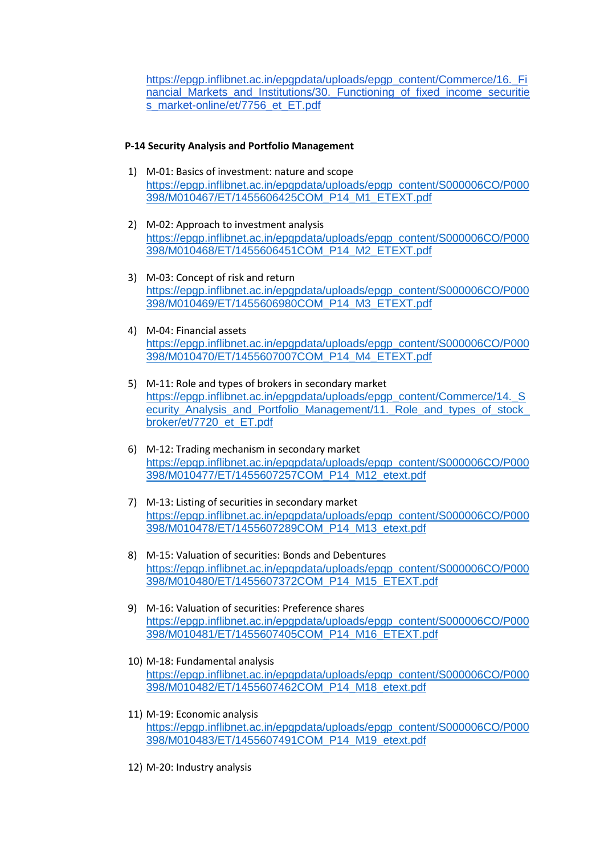[https://epgp.inflibnet.ac.in/epgpdata/uploads/epgp\\_content/Commerce/16.\\_Fi](https://epgp.inflibnet.ac.in/epgpdata/uploads/epgp_content/Commerce/16._Financial_Markets_and_Institutions/30._Functioning_of_fixed_income_securities_market-online/et/7756_et_ET.pdf) [nancial\\_Markets\\_and\\_Institutions/30.\\_Functioning\\_of\\_fixed\\_income\\_securitie](https://epgp.inflibnet.ac.in/epgpdata/uploads/epgp_content/Commerce/16._Financial_Markets_and_Institutions/30._Functioning_of_fixed_income_securities_market-online/et/7756_et_ET.pdf) [s\\_market-online/et/7756\\_et\\_ET.pdf](https://epgp.inflibnet.ac.in/epgpdata/uploads/epgp_content/Commerce/16._Financial_Markets_and_Institutions/30._Functioning_of_fixed_income_securities_market-online/et/7756_et_ET.pdf)

## **P-14 Security Analysis and Portfolio Management**

- 1) M-01: Basics of investment: nature and scope [https://epgp.inflibnet.ac.in/epgpdata/uploads/epgp\\_content/S000006CO/P000](https://epgp.inflibnet.ac.in/epgpdata/uploads/epgp_content/S000006CO/P000398/M010467/ET/1455606425COM_P14_M1_ETEXT.pdf) [398/M010467/ET/1455606425COM\\_P14\\_M1\\_ETEXT.pdf](https://epgp.inflibnet.ac.in/epgpdata/uploads/epgp_content/S000006CO/P000398/M010467/ET/1455606425COM_P14_M1_ETEXT.pdf)
- 2) M-02: Approach to investment analysis [https://epgp.inflibnet.ac.in/epgpdata/uploads/epgp\\_content/S000006CO/P000](https://epgp.inflibnet.ac.in/epgpdata/uploads/epgp_content/S000006CO/P000398/M010468/ET/1455606451COM_P14_M2_ETEXT.pdf) [398/M010468/ET/1455606451COM\\_P14\\_M2\\_ETEXT.pdf](https://epgp.inflibnet.ac.in/epgpdata/uploads/epgp_content/S000006CO/P000398/M010468/ET/1455606451COM_P14_M2_ETEXT.pdf)
- 3) M-03: Concept of risk and return [https://epgp.inflibnet.ac.in/epgpdata/uploads/epgp\\_content/S000006CO/P000](https://epgp.inflibnet.ac.in/epgpdata/uploads/epgp_content/S000006CO/P000398/M010469/ET/1455606980COM_P14_M3_ETEXT.pdf) [398/M010469/ET/1455606980COM\\_P14\\_M3\\_ETEXT.pdf](https://epgp.inflibnet.ac.in/epgpdata/uploads/epgp_content/S000006CO/P000398/M010469/ET/1455606980COM_P14_M3_ETEXT.pdf)
- 4) M-04: Financial assets [https://epgp.inflibnet.ac.in/epgpdata/uploads/epgp\\_content/S000006CO/P000](https://epgp.inflibnet.ac.in/epgpdata/uploads/epgp_content/S000006CO/P000398/M010470/ET/1455607007COM_P14_M4_ETEXT.pdf) [398/M010470/ET/1455607007COM\\_P14\\_M4\\_ETEXT.pdf](https://epgp.inflibnet.ac.in/epgpdata/uploads/epgp_content/S000006CO/P000398/M010470/ET/1455607007COM_P14_M4_ETEXT.pdf)
- 5) M-11: Role and types of brokers in secondary market [https://epgp.inflibnet.ac.in/epgpdata/uploads/epgp\\_content/Commerce/14.\\_S](https://epgp.inflibnet.ac.in/epgpdata/uploads/epgp_content/Commerce/14._Security_Analysis_and_Portfolio_Management/11._Role_and_types_of_stock_broker/et/7720_et_ET.pdf) ecurity Analysis and Portfolio Management/11. Role and types of stock [broker/et/7720\\_et\\_ET.pdf](https://epgp.inflibnet.ac.in/epgpdata/uploads/epgp_content/Commerce/14._Security_Analysis_and_Portfolio_Management/11._Role_and_types_of_stock_broker/et/7720_et_ET.pdf)
- 6) M-12: Trading mechanism in secondary market [https://epgp.inflibnet.ac.in/epgpdata/uploads/epgp\\_content/S000006CO/P000](https://epgp.inflibnet.ac.in/epgpdata/uploads/epgp_content/S000006CO/P000398/M010477/ET/1455607257COM_P14_M12_etext.pdf) [398/M010477/ET/1455607257COM\\_P14\\_M12\\_etext.pdf](https://epgp.inflibnet.ac.in/epgpdata/uploads/epgp_content/S000006CO/P000398/M010477/ET/1455607257COM_P14_M12_etext.pdf)
- 7) M-13: Listing of securities in secondary market [https://epgp.inflibnet.ac.in/epgpdata/uploads/epgp\\_content/S000006CO/P000](https://epgp.inflibnet.ac.in/epgpdata/uploads/epgp_content/S000006CO/P000398/M010478/ET/1455607289COM_P14_M13_etext.pdf) [398/M010478/ET/1455607289COM\\_P14\\_M13\\_etext.pdf](https://epgp.inflibnet.ac.in/epgpdata/uploads/epgp_content/S000006CO/P000398/M010478/ET/1455607289COM_P14_M13_etext.pdf)
- 8) M-15: Valuation of securities: Bonds and Debentures [https://epgp.inflibnet.ac.in/epgpdata/uploads/epgp\\_content/S000006CO/P000](https://epgp.inflibnet.ac.in/epgpdata/uploads/epgp_content/S000006CO/P000398/M010480/ET/1455607372COM_P14_M15_ETEXT.pdf) [398/M010480/ET/1455607372COM\\_P14\\_M15\\_ETEXT.pdf](https://epgp.inflibnet.ac.in/epgpdata/uploads/epgp_content/S000006CO/P000398/M010480/ET/1455607372COM_P14_M15_ETEXT.pdf)
- 9) M-16: Valuation of securities: Preference shares [https://epgp.inflibnet.ac.in/epgpdata/uploads/epgp\\_content/S000006CO/P000](https://epgp.inflibnet.ac.in/epgpdata/uploads/epgp_content/S000006CO/P000398/M010481/ET/1455607405COM_P14_M16_ETEXT.pdf) [398/M010481/ET/1455607405COM\\_P14\\_M16\\_ETEXT.pdf](https://epgp.inflibnet.ac.in/epgpdata/uploads/epgp_content/S000006CO/P000398/M010481/ET/1455607405COM_P14_M16_ETEXT.pdf)
- 10) M-18: Fundamental analysis [https://epgp.inflibnet.ac.in/epgpdata/uploads/epgp\\_content/S000006CO/P000](https://epgp.inflibnet.ac.in/epgpdata/uploads/epgp_content/S000006CO/P000398/M010482/ET/1455607462COM_P14_M18_etext.pdf) [398/M010482/ET/1455607462COM\\_P14\\_M18\\_etext.pdf](https://epgp.inflibnet.ac.in/epgpdata/uploads/epgp_content/S000006CO/P000398/M010482/ET/1455607462COM_P14_M18_etext.pdf)
- 11) M-19: Economic analysis [https://epgp.inflibnet.ac.in/epgpdata/uploads/epgp\\_content/S000006CO/P000](https://epgp.inflibnet.ac.in/epgpdata/uploads/epgp_content/S000006CO/P000398/M010483/ET/1455607491COM_P14_M19_etext.pdf) [398/M010483/ET/1455607491COM\\_P14\\_M19\\_etext.pdf](https://epgp.inflibnet.ac.in/epgpdata/uploads/epgp_content/S000006CO/P000398/M010483/ET/1455607491COM_P14_M19_etext.pdf)
- 12) M-20: Industry analysis